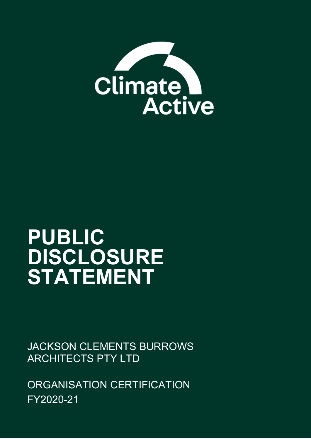

# **PUBLIC DISCLOSURE STATEMENT**

JACKSON CLEMENTS BURROWS ARCHITECTS PTY LTD

ORGANISATION CERTIFICATION FY2020-21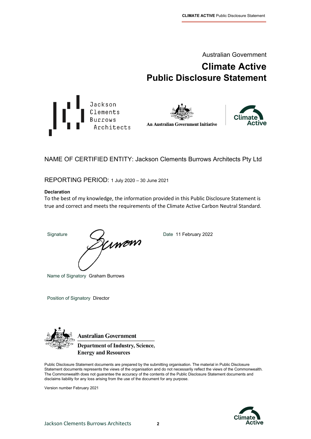Australian Government

# **Climate Active Public Disclosure Statement**







NAME OF CERTIFIED ENTITY: Jackson Clements Burrows Architects Pty Ltd

REPORTING PERIOD: 1 July 2020 – 30 June 2021

#### **Declaration**

To the best of my knowledge, the information provided in this Public Disclosure Statement is true and correct and meets the requirements of the Climate Active Carbon Neutral Standard.

Signature Date 11 February 2022

Name of Signatory Graham Burrows

Position of Signatory Director



**Australian Government** 

**Department of Industry, Science, Energy and Resources** 

Public Disclosure Statement documents are prepared by the submitting organisation. The material in Public Disclosure Statement documents represents the views of the organisation and do not necessarily reflect the views of the Commonwealth. The Commonwealth does not guarantee the accuracy of the contents of the Public Disclosure Statement documents and disclaims liability for any loss arising from the use of the document for any purpose.

Version number February 2021

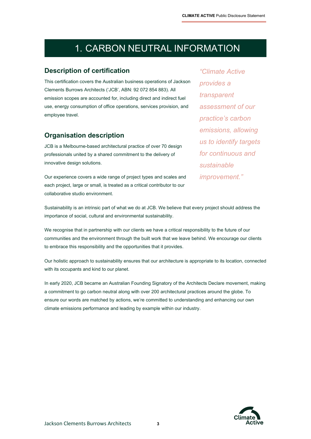# 1. CARBON NEUTRAL INFORMATION

#### **Description of certification**

This certification covers the Australian business operations of Jackson Clements Burrows Architects ('JCB', ABN: 92 072 854 883). All emission scopes are accounted for, including direct and indirect fuel use, energy consumption of office operations, services provision, and employee travel.

#### **Organisation description**

JCB is a Melbourne-based architectural practice of over 70 design professionals united by a shared commitment to the delivery of innovative design solutions.

Our experience covers a wide range of project types and scales and each project, large or small, is treated as a critical contributor to our collaborative studio environment.

*"Climate Active provides a transparent assessment of our practice's carbon emissions, allowing us to identify targets for continuous and sustainable improvement."*

Sustainability is an intrinsic part of what we do at JCB. We believe that every project should address the importance of social, cultural and environmental sustainability.

We recognise that in partnership with our clients we have a critical responsibility to the future of our communities and the environment through the built work that we leave behind. We encourage our clients to embrace this responsibility and the opportunities that it provides.

Our holistic approach to sustainability ensures that our architecture is appropriate to its location, connected with its occupants and kind to our planet.

In early 2020, JCB became an Australian Founding Signatory of the Architects Declare movement, making a commitment to go carbon neutral along with over 200 architectural practices around the globe. To ensure our words are matched by actions, we're committed to understanding and enhancing our own climate emissions performance and leading by example within our industry.

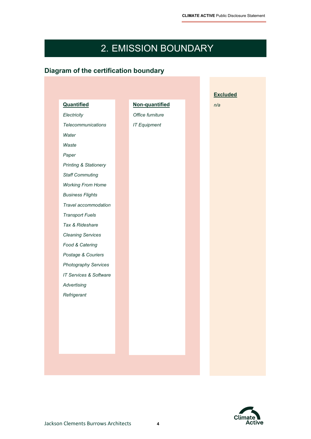# 2. EMISSION BOUNDARY

## **Diagram of the certification boundary**

| <b>Quantified</b>                | Non-quantified      |  | n/a |
|----------------------------------|---------------------|--|-----|
| Electricity                      | Office furniture    |  |     |
| <b>Telecommunications</b>        | <b>IT Equipment</b> |  |     |
| Water                            |                     |  |     |
| Waste                            |                     |  |     |
| Paper                            |                     |  |     |
| <b>Printing &amp; Stationery</b> |                     |  |     |
| <b>Staff Commuting</b>           |                     |  |     |
| <b>Working From Home</b>         |                     |  |     |
| <b>Business Flights</b>          |                     |  |     |
| Travel accommodation             |                     |  |     |
| <b>Transport Fuels</b>           |                     |  |     |
| Tax & Rideshare                  |                     |  |     |
| <b>Cleaning Services</b>         |                     |  |     |
| Food & Catering                  |                     |  |     |
| Postage & Couriers               |                     |  |     |
| Photography Services             |                     |  |     |
| IT Services & Software           |                     |  |     |
| Advertising                      |                     |  |     |
| Refrigerant                      |                     |  |     |
|                                  |                     |  |     |
|                                  |                     |  |     |
|                                  |                     |  |     |
|                                  |                     |  |     |
|                                  |                     |  |     |
|                                  |                     |  |     |

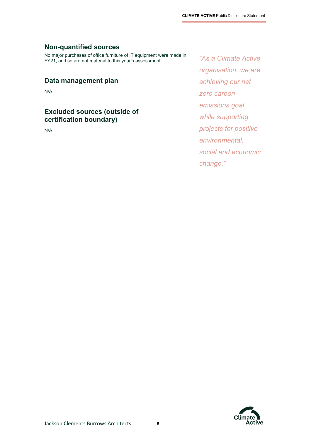#### **Non-quantified sources**

No major purchases of office furniture of IT equipment were made in FY21, and so are not material to this year's assessment.

#### **Data management plan**

N/A

#### **Excluded sources (outside of certification boundary)**

N/A

*"As a Climate Active organisation, we are achieving our net zero carbon emissions goal, while supporting projects for positive environmental, social and economic change."*

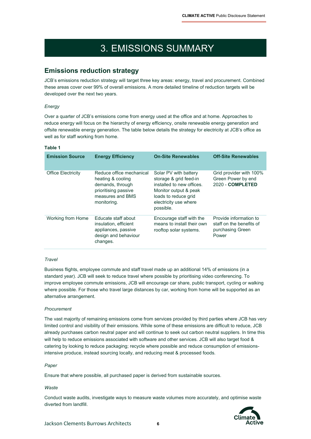# 3. EMISSIONS SUMMARY

#### **Emissions reduction strategy**

JCB's emissions reduction strategy will target three key areas: energy, travel and procurement. Combined these areas cover over 99% of overall emissions. A more detailed timeline of reduction targets will be developed over the next two years.

#### *Energy*

Over a quarter of JCB's emissions come from energy used at the office and at home. Approaches to reduce energy will focus on the hierarchy of energy efficiency, onsite renewable energy generation and offsite renewable energy generation. The table below details the strategy for electricity at JCB's office as well as for staff working from home.

| . .<br>٠<br>×<br>×<br>۰. |
|--------------------------|
|--------------------------|

| <b>Emission Source</b>    | <b>Energy Efficiency</b>                                                                                                     | <b>On-Site Renewables</b>                                                                                                                                           | <b>Off-Site Renewables</b>                                                      |
|---------------------------|------------------------------------------------------------------------------------------------------------------------------|---------------------------------------------------------------------------------------------------------------------------------------------------------------------|---------------------------------------------------------------------------------|
| <b>Office Electricity</b> | Reduce office mechanical<br>heating & cooling<br>demands, through<br>prioritising passive<br>measures and BMS<br>monitoring. | Solar PV with battery<br>storage & grid feed-in<br>installed to new offices.<br>Monitor output & peak<br>loads to reduce grid<br>electricity use where<br>possible. | Grid provider with 100%<br>Green Power by end<br>2020 - COMPLETED               |
| Working from Home         | Fducate staff about<br>insulation, efficient<br>appliances, passive<br>design and behaviour<br>changes.                      | Encourage staff with the<br>means to install their own<br>rooftop solar systems.                                                                                    | Provide information to<br>staff on the benefits of<br>purchasing Green<br>Power |

#### *Travel*

Business flights, employee commute and staff travel made up an additional 14% of emissions (in a standard year). JCB will seek to reduce travel where possible by prioritising video conferencing. To improve employee commute emissions, JCB will encourage car share, public transport, cycling or walking where possible. For those who travel large distances by car, working from home will be supported as an alternative arrangement.

#### *Procurement*

The vast majority of remaining emissions come from services provided by third parties where JCB has very limited control and visibility of their emissions. While some of these emissions are difficult to reduce, JCB already purchases carbon neutral paper and will continue to seek out carbon neutral suppliers. In time this will help to reduce emissions associated with software and other services. JCB will also target food & catering by looking to reduce packaging; recycle where possible and reduce consumption of emissionsintensive produce, instead sourcing locally, and reducing meat & processed foods.

#### *Paper*

Ensure that where possible, all purchased paper is derived from sustainable sources.

#### *Waste*

Conduct waste audits, investigate ways to measure waste volumes more accurately, and optimise waste diverted from landfill.

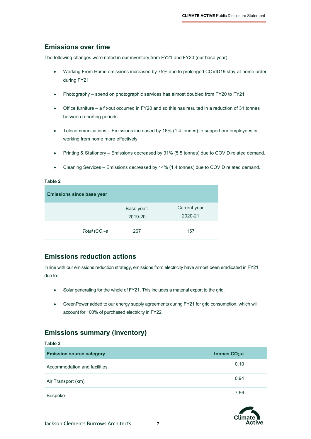#### **Emissions over time**

The following changes were noted in our inventory from FY21 and FY20 (our base year)

- Working From Home emissions increased by 75% due to prolonged COVID19 stay-at-home order during FY21
- Photography spend on photographic services has almost doubled from FY20 to FY21
- Office furniture a fit-out occurred in FY20 and so this has resulted in a reduction of 31 tonnes between reporting periods
- Telecommunications Emissions increased by 16% (1.4 tonnes) to support our employees in working from home more effectively
- Printing & Stationery Emissions decreased by 31% (5.5 tonnes) due to COVID related demand.
- Cleaning Services Emissions decreased by 14% (1.4 tonnes) due to COVID related demand.

#### **Table 2**

**Table 3**

| <b>Emissions since base year</b> |                       |                         |
|----------------------------------|-----------------------|-------------------------|
|                                  | Base year:<br>2019-20 | Current year<br>2020-21 |
| Total $tCO2$ -e                  | 267                   | 157                     |

#### **Emissions reduction actions**

In line with our emissions reduction strategy, emissions from electricity have almost been eradicated in FY21 due to:

- Solar generating for the whole of FY21. This includes a material export to the grid.
- GreenPower added to our energy supply agreements during FY21 for grid consumption, which will account for 100% of purchased electricity in FY22.

#### **Emissions summary (inventory)**

| i apie p                        |                 |
|---------------------------------|-----------------|
| <b>Emission source category</b> | tonnes $CO2$ -e |
| Accommodation and facilities    | 0.10            |
| Air Transport (km)              | 0.94            |
| Bespoke                         | 7.66            |

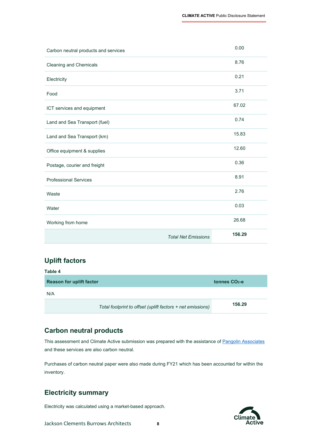|                                      | <b>Total Net Emissions</b> | 156.29 |
|--------------------------------------|----------------------------|--------|
| Working from home                    |                            | 26.68  |
| Water                                |                            | 0.03   |
| Waste                                |                            | 2.76   |
| <b>Professional Services</b>         |                            | 8.91   |
| Postage, courier and freight         |                            | 0.36   |
| Office equipment & supplies          |                            | 12.60  |
| Land and Sea Transport (km)          |                            | 15.83  |
| Land and Sea Transport (fuel)        |                            | 0.74   |
| ICT services and equipment           |                            | 67.02  |
| Food                                 |                            | 3.71   |
| Electricity                          |                            | 0.21   |
| Cleaning and Chemicals               |                            | 8.76   |
| Carbon neutral products and services |                            | 0.00   |

### **Uplift factors**

| Table 4                         |                                                            |                 |
|---------------------------------|------------------------------------------------------------|-----------------|
| <b>Reason for uplift factor</b> |                                                            | tonnes $CO2$ -e |
| N/A                             |                                                            |                 |
|                                 | Total footprint to offset (uplift factors + net emissions) | 156.29          |

#### **Carbon neutral products**

This assessment and Climate Active submission was prepared with the assistance o[f Pangolin Associates](https://pangolinassociates.com/) and these services are also carbon neutral.

Purchases of carbon neutral paper were also made during FY21 which has been accounted for within the inventory.

### **Electricity summary**

Electricity was calculated using a market-based approach.

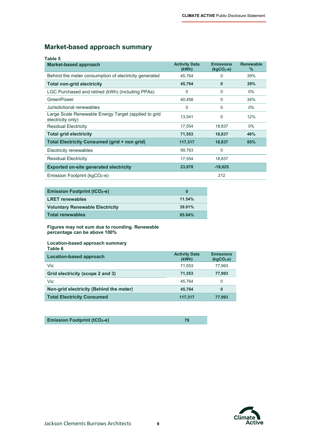### **Market-based approach summary**

| Table 5                                                                   |                               |                                 |                          |
|---------------------------------------------------------------------------|-------------------------------|---------------------------------|--------------------------|
| Market-based approach                                                     | <b>Activity Data</b><br>(kWh) | <b>Emissions</b><br>$(kqCO2-e)$ | <b>Renewable</b><br>$\%$ |
| Behind the meter consumption of electricity generated                     | 45,764                        | 0                               | 39%                      |
| <b>Total non-grid electricity</b>                                         | 45,764                        | $\bf{0}$                        | 39%                      |
| LGC Purchased and retired (kWh) (including PPAs)                          | $\Omega$                      | 0                               | $0\%$                    |
| GreenPower                                                                | 40,458                        | 0                               | 34%                      |
| Jurisdictional renewables                                                 | $\Omega$                      | 0                               | $0\%$                    |
| Large Scale Renewable Energy Target (applied to grid<br>electricity only) | 13,541                        | 0                               | 12%                      |
| <b>Residual Electricity</b>                                               | 17,554                        | 18,837                          | $0\%$                    |
| <b>Total grid electricity</b>                                             | 71,553                        | 18,837                          | 46%                      |
| <b>Total Electricity Consumed (grid + non grid)</b>                       | 117,317                       | 18,837                          | 85%                      |
| <b>Electricity renewables</b>                                             | 99,763                        | 0                               |                          |
| <b>Residual Electricity</b>                                               | 17,554                        | 18,837                          |                          |
| <b>Exported on-site generated electricity</b>                             | 23,878                        | $-18,625$                       |                          |
| Emission Footprint ( $kgCO2$ -e)                                          |                               | 212                             |                          |

| <b>Emission Footprint (tCO<sub>2</sub>-e)</b> | o      |
|-----------------------------------------------|--------|
| <b>LRET</b> renewables                        | 11.54% |
| <b>Voluntary Renewable Electricity</b>        | 39.01% |
| <b>Total renewables</b>                       | 85.04% |

**Figures may not sum due to rounding. Renewable percentage can be above 100%**

#### **Location-based approach summary Table 6**

| Location-based approach                 | <b>Activity Data</b><br>(kWh) | <b>Emissions</b><br>(kqCO <sub>2</sub> .e) |
|-----------------------------------------|-------------------------------|--------------------------------------------|
| Vic                                     | 71.553                        | 77.993                                     |
| Grid electricity (scope 2 and 3)        | 71,553                        | 77,993                                     |
| Vic                                     | 45.764                        | 0                                          |
| Non-grid electricity (Behind the meter) | 45.764                        | 0                                          |
| <b>Total Electricity Consumed</b>       | 117,317                       | 77.993                                     |
|                                         |                               |                                            |

| <b>Emission Footprint (tCO<sub>2</sub>-e)</b> |  |
|-----------------------------------------------|--|

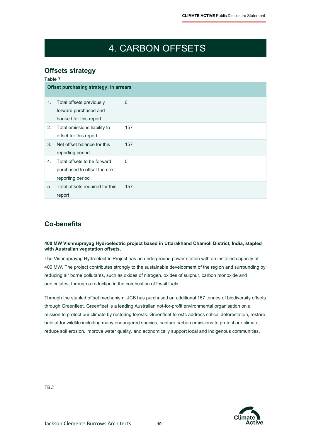# 4. CARBON OFFSETS

### **Offsets strategy**

|    | Table 7<br>Offset purchasing strategy: In arrears |          |  |
|----|---------------------------------------------------|----------|--|
|    |                                                   |          |  |
| 1. | Total offsets previously                          | $\Omega$ |  |
|    | forward purchased and                             |          |  |
|    | banked for this report                            |          |  |
| 2. | Total emissions liability to                      | 157      |  |
|    | offset for this report                            |          |  |
| 3. | Net offset balance for this                       | 157      |  |
|    | reporting period                                  |          |  |
| 4. | Total offsets to be forward                       | 0        |  |
|    | purchased to offset the next                      |          |  |
|    | reporting period                                  |          |  |
| 5. | Total offsets required for this                   | 157      |  |
|    | report                                            |          |  |

### **Co-benefits**

#### **400 MW Vishnuprayag Hydroelectric project based in Uttarakhand Chamoli District, India, stapled with Australian vegetation offsets.**

The Vishnuprayag Hydroelectric Project has an underground power station with an installed capacity of 400 MW. The project contributes strongly to the sustainable development of the region and surrounding by reducing air borne pollutants, such as oxides of nitrogen, oxides of sulphur, carbon monoxide and particulates, through a reduction in the combustion of fossil fuels.

Through the stapled offset mechanism, JCB has purchased an additional 157 tonnes of biodiversity offsets through Greenfleet. Greenfleet is a leading Australian not-for-profit environmental organisation on a mission to protect our climate by restoring forests. Greenfleet forests address critical deforestation, restore habitat for wildlife including many endangered species, capture carbon emissions to protect our climate, reduce soil erosion, improve water quality, and economically support local and indigenous communities.

TBC

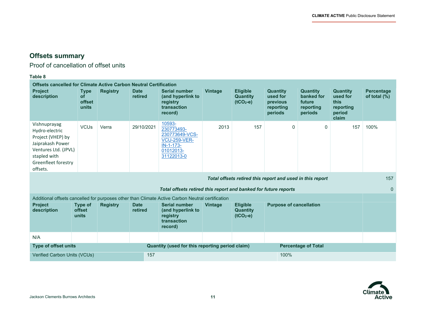$\overline{\phantom{a}}$ 

## **Offsets summary**

Proof of cancellation of offset units

#### **Table 8**

| <b>Offsets cancelled for Climate Active Carbon Neutral Certification</b>                                                                           |                                      |                 |                        |                                                                                                         |                |                                                  |                                                                 |                                                                 |                                                                     |                                   |
|----------------------------------------------------------------------------------------------------------------------------------------------------|--------------------------------------|-----------------|------------------------|---------------------------------------------------------------------------------------------------------|----------------|--------------------------------------------------|-----------------------------------------------------------------|-----------------------------------------------------------------|---------------------------------------------------------------------|-----------------------------------|
| <b>Project</b><br>description                                                                                                                      | <b>Type</b><br>of<br>offset<br>units | <b>Registry</b> | <b>Date</b><br>retired | <b>Serial number</b><br>(and hyperlink to<br>registry<br>transaction<br>record)                         | <b>Vintage</b> | <b>Eligible</b><br><b>Quantity</b><br>$(tCO2-e)$ | <b>Quantity</b><br>used for<br>previous<br>reporting<br>periods | <b>Quantity</b><br>banked for<br>future<br>reporting<br>periods | <b>Quantity</b><br>used for<br>this<br>reporting<br>period<br>claim | <b>Percentage</b><br>of total (%) |
| Vishnuprayag<br>Hydro-electric<br>Project (VHEP) by<br>Jaiprakash Power<br>Ventures Ltd. (JPVL)<br>stapled with<br>Greenfleet forestry<br>offsets. | <b>VCUs</b>                          | Verra           | 29/10/2021             | 10593-<br>230773493-<br>230773649-VCS-<br><b>VCU-259-VER-</b><br>$IN-1-173-$<br>01012013-<br>31122013-0 | 2013           | 157                                              | $\mathbf 0$                                                     | 0                                                               | 157                                                                 | 100%                              |
| Total offsets retired this report and used in this report                                                                                          |                                      |                 |                        |                                                                                                         |                |                                                  |                                                                 | 157                                                             |                                                                     |                                   |
| Total offsets retired this report and banked for future reports                                                                                    |                                      |                 |                        |                                                                                                         |                |                                                  |                                                                 | $\Omega$                                                        |                                                                     |                                   |
| Additional offsets cancelled for purposes other than Climate Active Carbon Neutral certification                                                   |                                      |                 |                        |                                                                                                         |                |                                                  |                                                                 |                                                                 |                                                                     |                                   |
| <b>Project</b><br>description                                                                                                                      | Type of<br>offset<br>units           | <b>Registry</b> | <b>Date</b><br>retired | <b>Serial number</b><br>(and hyperlink to<br>registry<br>transaction<br>record)                         | Vintage        | <b>Eligible</b><br><b>Quantity</b><br>$(tCO2-e)$ | <b>Purpose of cancellation</b>                                  |                                                                 |                                                                     |                                   |
| N/A                                                                                                                                                |                                      |                 |                        |                                                                                                         |                |                                                  |                                                                 |                                                                 |                                                                     |                                   |
| <b>Type of offset units</b><br>Quantity (used for this reporting period claim)<br><b>Percentage of Total</b>                                       |                                      |                 |                        |                                                                                                         |                |                                                  |                                                                 |                                                                 |                                                                     |                                   |
| Verified Carbon Units (VCUs)                                                                                                                       |                                      |                 |                        | 157                                                                                                     |                |                                                  | 100%                                                            |                                                                 |                                                                     |                                   |

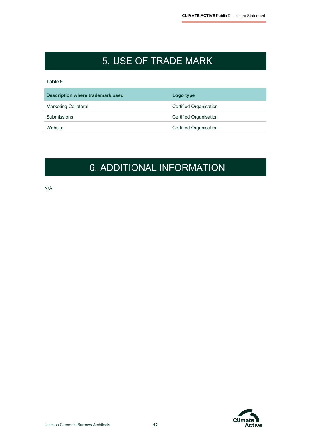# 5. USE OF TRADE MARK

#### **Table 9**

| Description where trademark used | Logo type                     |
|----------------------------------|-------------------------------|
| <b>Marketing Collateral</b>      | <b>Certified Organisation</b> |
| Submissions                      | Certified Organisation        |
| Website                          | <b>Certified Organisation</b> |
|                                  |                               |

# 6. ADDITIONAL INFORMATION

N/A

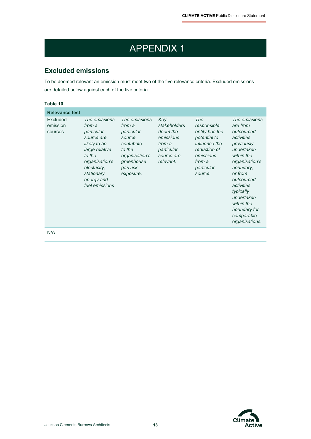# APPENDIX 1

### **Excluded emissions**

To be deemed relevant an emission must meet two of the five relevance criteria. Excluded emissions are detailed below against each of the five criteria.

| Table 10                        |                                                                                                                                                                                 |                                                                                                                                  |                                                                                                 |                                                                                                                                              |                                                                                                                                                                                                                                                                |
|---------------------------------|---------------------------------------------------------------------------------------------------------------------------------------------------------------------------------|----------------------------------------------------------------------------------------------------------------------------------|-------------------------------------------------------------------------------------------------|----------------------------------------------------------------------------------------------------------------------------------------------|----------------------------------------------------------------------------------------------------------------------------------------------------------------------------------------------------------------------------------------------------------------|
| <b>Relevance test</b>           |                                                                                                                                                                                 |                                                                                                                                  |                                                                                                 |                                                                                                                                              |                                                                                                                                                                                                                                                                |
| Excluded<br>emission<br>sources | The emissions<br>from a<br>particular<br>source are<br>likely to be<br>large relative<br>to the<br>organisation's<br>electricity,<br>stationary<br>energy and<br>fuel emissions | The emissions<br>from a<br>particular<br>source<br>contribute<br>to the<br>organisation's<br>greenhouse<br>gas risk<br>exposure. | Key<br>stakeholders<br>deem the<br>emissions<br>from a<br>particular<br>source are<br>relevant. | The<br>responsible<br>entity has the<br>potential to<br><i>influence the</i><br>reduction of<br>emissions<br>from a<br>particular<br>source. | The emissions<br>are from<br>outsourced<br>activities<br>previously<br>undertaken<br>within the<br>organisation's<br>boundary,<br>or from<br>outsourced<br>activities<br>typically<br>undertaken<br>within the<br>boundary for<br>comparable<br>organisations. |
| N/A                             |                                                                                                                                                                                 |                                                                                                                                  |                                                                                                 |                                                                                                                                              |                                                                                                                                                                                                                                                                |

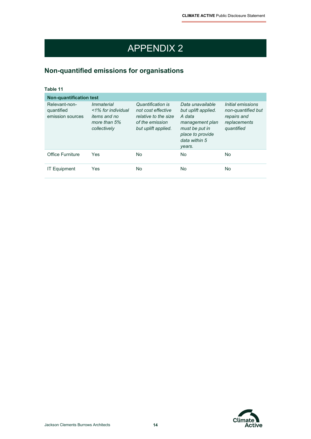# APPENDIX 2

## **Non-quantified emissions for organisations**

| Table 11                                        |                                                                                                |                                                                                                           |                                                                                                                                       |                                                                                      |  |  |
|-------------------------------------------------|------------------------------------------------------------------------------------------------|-----------------------------------------------------------------------------------------------------------|---------------------------------------------------------------------------------------------------------------------------------------|--------------------------------------------------------------------------------------|--|--|
| <b>Non-quantification test</b>                  |                                                                                                |                                                                                                           |                                                                                                                                       |                                                                                      |  |  |
| Relevant-non-<br>quantified<br>emission sources | <i>Immaterial</i><br><1% for individual<br><i>items and no</i><br>more than 5%<br>collectively | Quantification is<br>not cost effective<br>relative to the size<br>of the emission<br>but uplift applied. | Data unavailable<br>but uplift applied.<br>A data<br>management plan<br>must be put in<br>place to provide<br>data within 5<br>years. | Initial emissions<br>non-quantified but<br>repairs and<br>replacements<br>quantified |  |  |
| Office Furniture                                | Yes                                                                                            | No.                                                                                                       | No.                                                                                                                                   | No.                                                                                  |  |  |
| <b>IT Equipment</b>                             | Yes                                                                                            | No                                                                                                        | No.                                                                                                                                   | No.                                                                                  |  |  |